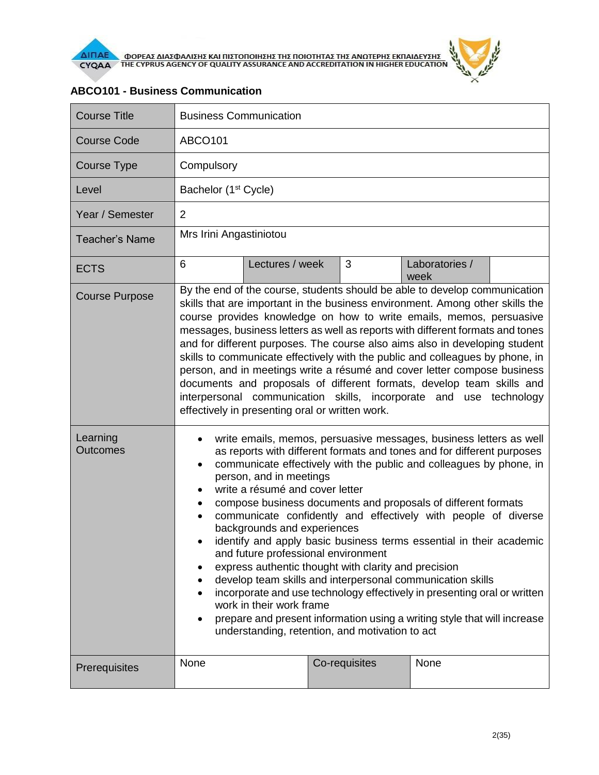

| <b>Course Title</b>         | <b>Business Communication</b>                                                                                                                                                                                                                                                                                                                                                                                                                                                                                                                                                                                                                                                                                                                                                                                                                                                                                                                                                   |                 |  |               |                        |  |
|-----------------------------|---------------------------------------------------------------------------------------------------------------------------------------------------------------------------------------------------------------------------------------------------------------------------------------------------------------------------------------------------------------------------------------------------------------------------------------------------------------------------------------------------------------------------------------------------------------------------------------------------------------------------------------------------------------------------------------------------------------------------------------------------------------------------------------------------------------------------------------------------------------------------------------------------------------------------------------------------------------------------------|-----------------|--|---------------|------------------------|--|
| <b>Course Code</b>          | <b>ABCO101</b>                                                                                                                                                                                                                                                                                                                                                                                                                                                                                                                                                                                                                                                                                                                                                                                                                                                                                                                                                                  |                 |  |               |                        |  |
| <b>Course Type</b>          | Compulsory                                                                                                                                                                                                                                                                                                                                                                                                                                                                                                                                                                                                                                                                                                                                                                                                                                                                                                                                                                      |                 |  |               |                        |  |
| Level                       | Bachelor (1 <sup>st</sup> Cycle)                                                                                                                                                                                                                                                                                                                                                                                                                                                                                                                                                                                                                                                                                                                                                                                                                                                                                                                                                |                 |  |               |                        |  |
| Year / Semester             | $\overline{2}$                                                                                                                                                                                                                                                                                                                                                                                                                                                                                                                                                                                                                                                                                                                                                                                                                                                                                                                                                                  |                 |  |               |                        |  |
| <b>Teacher's Name</b>       | Mrs Irini Angastiniotou                                                                                                                                                                                                                                                                                                                                                                                                                                                                                                                                                                                                                                                                                                                                                                                                                                                                                                                                                         |                 |  |               |                        |  |
| <b>ECTS</b>                 | 6                                                                                                                                                                                                                                                                                                                                                                                                                                                                                                                                                                                                                                                                                                                                                                                                                                                                                                                                                                               | Lectures / week |  | 3             | Laboratories /<br>week |  |
| <b>Course Purpose</b>       | By the end of the course, students should be able to develop communication<br>skills that are important in the business environment. Among other skills the<br>course provides knowledge on how to write emails, memos, persuasive<br>messages, business letters as well as reports with different formats and tones<br>and for different purposes. The course also aims also in developing student<br>skills to communicate effectively with the public and colleagues by phone, in<br>person, and in meetings write a résumé and cover letter compose business<br>documents and proposals of different formats, develop team skills and<br>interpersonal communication skills, incorporate and use technology<br>effectively in presenting oral or written work.                                                                                                                                                                                                              |                 |  |               |                        |  |
| Learning<br><b>Outcomes</b> | write emails, memos, persuasive messages, business letters as well<br>as reports with different formats and tones and for different purposes<br>communicate effectively with the public and colleagues by phone, in<br>$\bullet$<br>person, and in meetings<br>write a résumé and cover letter<br>compose business documents and proposals of different formats<br>$\bullet$<br>communicate confidently and effectively with people of diverse<br>$\bullet$<br>backgrounds and experiences<br>identify and apply basic business terms essential in their academic<br>and future professional environment<br>express authentic thought with clarity and precision<br>٠<br>develop team skills and interpersonal communication skills<br>٠<br>incorporate and use technology effectively in presenting oral or written<br>work in their work frame<br>prepare and present information using a writing style that will increase<br>understanding, retention, and motivation to act |                 |  |               |                        |  |
| Prerequisites               | None                                                                                                                                                                                                                                                                                                                                                                                                                                                                                                                                                                                                                                                                                                                                                                                                                                                                                                                                                                            |                 |  | Co-requisites | None                   |  |

## **ABCO101 - Business Communication**

 $\tilde{r}$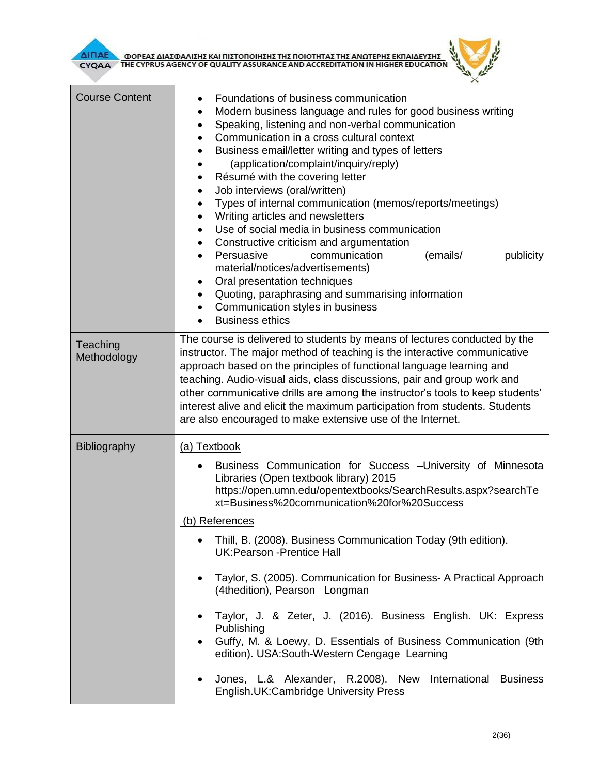**AITIAE OPEAE AIAZOANIZHE KAI TIIZTOTIOIHEHE THE TOIOTHTAE THE ANOTEPHE EKTIAIAEYEHE** 



| <b>Course Content</b>   | Foundations of business communication<br>٠<br>Modern business language and rules for good business writing<br>$\bullet$<br>Speaking, listening and non-verbal communication<br>$\bullet$<br>Communication in a cross cultural context<br>$\bullet$<br>Business email/letter writing and types of letters<br>(application/complaint/inquiry/reply)<br>$\bullet$<br>Résumé with the covering letter<br>٠<br>Job interviews (oral/written)<br>٠<br>Types of internal communication (memos/reports/meetings)<br>$\bullet$<br>Writing articles and newsletters<br>$\bullet$<br>Use of social media in business communication<br>$\bullet$<br>Constructive criticism and argumentation                                                                                                                 |  |  |  |  |
|-------------------------|--------------------------------------------------------------------------------------------------------------------------------------------------------------------------------------------------------------------------------------------------------------------------------------------------------------------------------------------------------------------------------------------------------------------------------------------------------------------------------------------------------------------------------------------------------------------------------------------------------------------------------------------------------------------------------------------------------------------------------------------------------------------------------------------------|--|--|--|--|
|                         | Persuasive<br>communication<br>(emails/<br>publicity<br>$\bullet$<br>material/notices/advertisements)<br>Oral presentation techniques<br>$\bullet$<br>Quoting, paraphrasing and summarising information<br>$\bullet$<br>Communication styles in business<br>$\bullet$<br><b>Business ethics</b><br>$\bullet$                                                                                                                                                                                                                                                                                                                                                                                                                                                                                     |  |  |  |  |
| Teaching<br>Methodology | The course is delivered to students by means of lectures conducted by the<br>instructor. The major method of teaching is the interactive communicative<br>approach based on the principles of functional language learning and<br>teaching. Audio-visual aids, class discussions, pair and group work and<br>other communicative drills are among the instructor's tools to keep students'<br>interest alive and elicit the maximum participation from students. Students<br>are also encouraged to make extensive use of the Internet.                                                                                                                                                                                                                                                          |  |  |  |  |
| Bibliography            | (a) Textbook<br>Business Communication for Success - University of Minnesota<br>Libraries (Open textbook library) 2015<br>https://open.umn.edu/opentextbooks/SearchResults.aspx?searchTe<br>xt=Business%20communication%20for%20Success<br>(b) References<br>Thill, B. (2008). Business Communication Today (9th edition).<br><b>UK:Pearson -Prentice Hall</b><br>Taylor, S. (2005). Communication for Business- A Practical Approach<br>(4thedition), Pearson Longman<br>Taylor, J. & Zeter, J. (2016). Business English. UK: Express<br>Publishing<br>Guffy, M. & Loewy, D. Essentials of Business Communication (9th<br>edition). USA: South-Western Cengage Learning<br>Jones, L.& Alexander, R.2008). New<br>International<br><b>Business</b><br>٠<br>English.UK:Cambridge University Press |  |  |  |  |